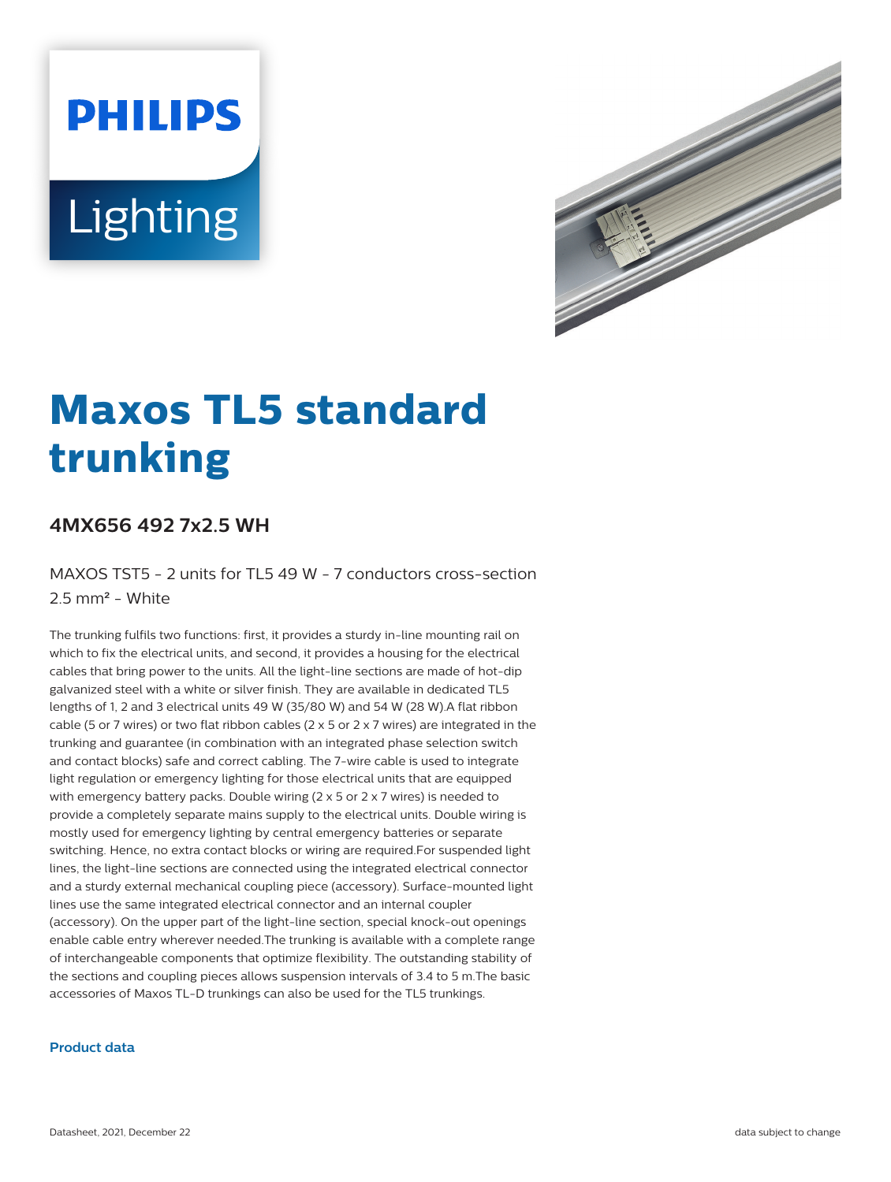# **PHILIPS** Lighting



# **Maxos TL5 standard trunking**

## **4MX656 492 7x2.5 WH**

MAXOS TST5 - 2 units for TL5 49 W - 7 conductors cross-section 2.5 mm² - White

The trunking fulfils two functions: first, it provides a sturdy in-line mounting rail on which to fix the electrical units, and second, it provides a housing for the electrical cables that bring power to the units. All the light-line sections are made of hot-dip galvanized steel with a white or silver finish. They are available in dedicated TL5 lengths of 1, 2 and 3 electrical units 49 W (35/80 W) and 54 W (28 W).A flat ribbon cable (5 or 7 wires) or two flat ribbon cables (2  $\times$  5 or 2  $\times$  7 wires) are integrated in the trunking and guarantee (in combination with an integrated phase selection switch and contact blocks) safe and correct cabling. The 7-wire cable is used to integrate light regulation or emergency lighting for those electrical units that are equipped with emergency battery packs. Double wiring (2 x 5 or 2 x 7 wires) is needed to provide a completely separate mains supply to the electrical units. Double wiring is mostly used for emergency lighting by central emergency batteries or separate switching. Hence, no extra contact blocks or wiring are required.For suspended light lines, the light-line sections are connected using the integrated electrical connector and a sturdy external mechanical coupling piece (accessory). Surface-mounted light lines use the same integrated electrical connector and an internal coupler (accessory). On the upper part of the light-line section, special knock-out openings enable cable entry wherever needed.The trunking is available with a complete range of interchangeable components that optimize flexibility. The outstanding stability of the sections and coupling pieces allows suspension intervals of 3.4 to 5 m.The basic accessories of Maxos TL-D trunkings can also be used for the TL5 trunkings.

#### **Product data**